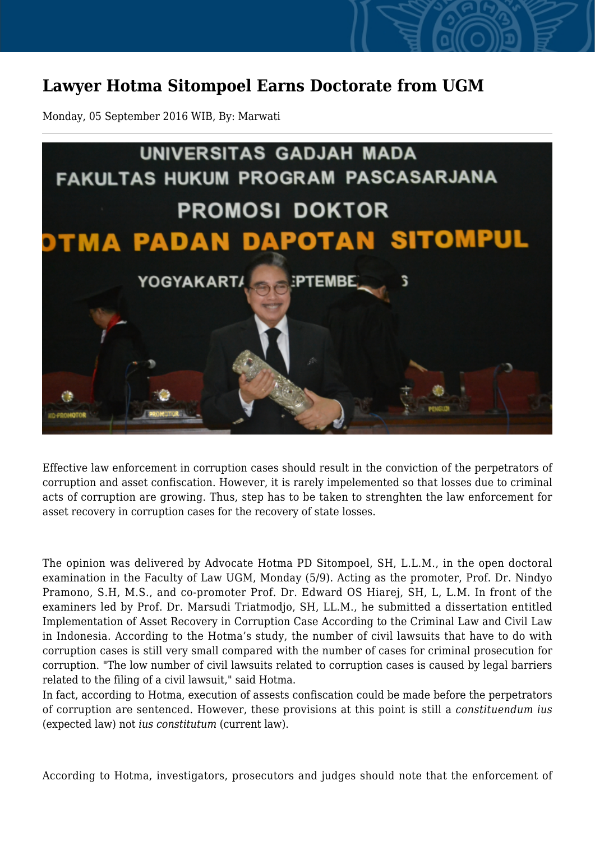## **Lawyer Hotma Sitompoel Earns Doctorate from UGM**

Monday, 05 September 2016 WIB, By: Marwati



Effective law enforcement in corruption cases should result in the conviction of the perpetrators of corruption and asset confiscation. However, it is rarely impelemented so that losses due to criminal acts of corruption are growing. Thus, step has to be taken to strenghten the law enforcement for asset recovery in corruption cases for the recovery of state losses.

The opinion was delivered by Advocate Hotma PD Sitompoel, SH, L.L.M., in the open doctoral examination in the Faculty of Law UGM, Monday (5/9). Acting as the promoter, Prof. Dr. Nindyo Pramono, S.H, M.S., and co-promoter Prof. Dr. Edward OS Hiarej, SH, L, L.M. In front of the examiners led by Prof. Dr. Marsudi Triatmodjo, SH, LL.M., he submitted a dissertation entitled Implementation of Asset Recovery in Corruption Case According to the Criminal Law and Civil Law in Indonesia. According to the Hotma's study, the number of civil lawsuits that have to do with corruption cases is still very small compared with the number of cases for criminal prosecution for corruption. "The low number of civil lawsuits related to corruption cases is caused by legal barriers related to the filing of a civil lawsuit," said Hotma.

In fact, according to Hotma, execution of assests confiscation could be made before the perpetrators of corruption are sentenced. However, these provisions at this point is still a *constituendum ius* (expected law) not *ius constitutum* (current law).

According to Hotma, investigators, prosecutors and judges should note that the enforcement of